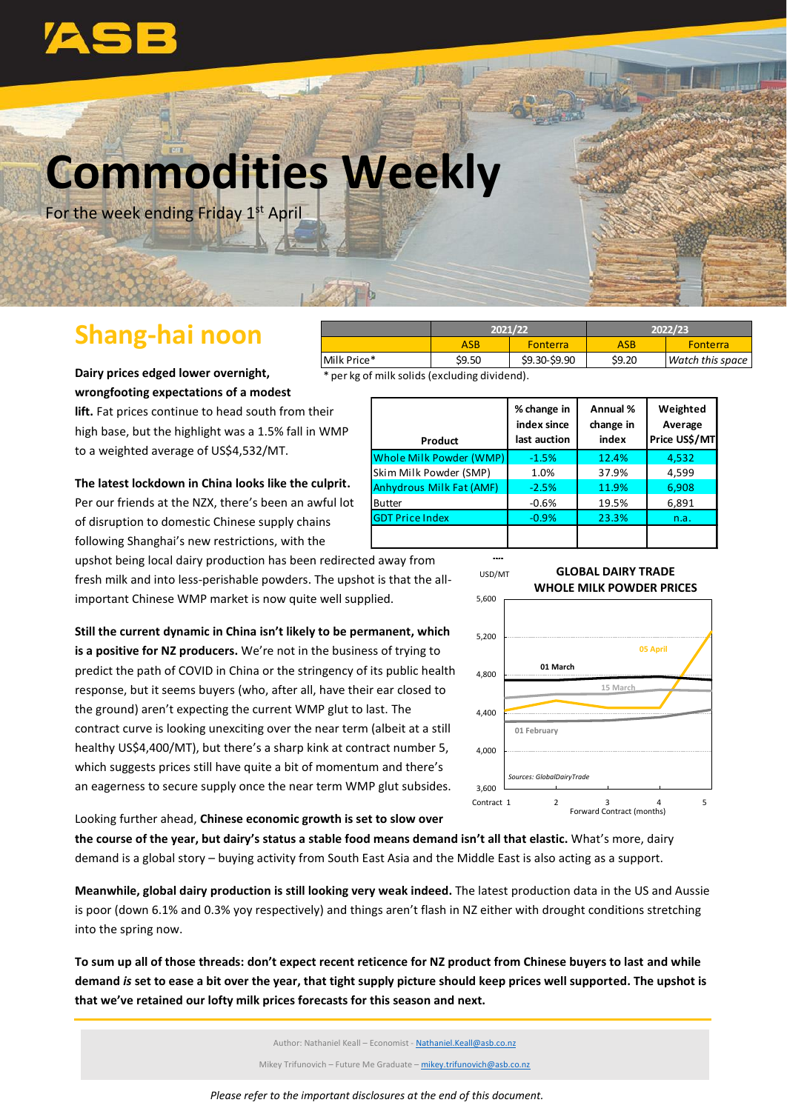

# **Commodities Weekly**

For the week ending Friday 1<sup>st</sup> April

# **Shang-hai noon**

**Dairy prices edged lower overnight, wrongfooting expectations of a modest** 

**lift.** Fat prices continue to head south from their high base, but the highlight was a 1.5% fall in WMP to a weighted average of US\$4,532/MT.

**The latest lockdown in China looks like the culprit.** Per our friends at the NZX, there's been an awful lot of disruption to domestic Chinese supply chains following Shanghai's new restrictions, with the

upshot being local dairy production has been redirected away from fresh milk and into less-perishable powders. The upshot is that the allimportant Chinese WMP market is now quite well supplied.

**Still the current dynamic in China isn't likely to be permanent, which is a positive for NZ producers.** We're not in the business of trying to predict the path of COVID in China or the stringency of its public health response, but it seems buyers (who, after all, have their ear closed to the ground) aren't expecting the current WMP glut to last. The contract curve is looking unexciting over the near term (albeit at a still healthy US\$4,400/MT), but there's a sharp kink at contract number 5, which suggests prices still have quite a bit of momentum and there's an eagerness to secure supply once the near term WMP glut subsides.

ASB | Fonterra | ASB | Fonterra<br>
19.50 | \$9.30-\$9.90 | \$9.20 | Watch this sp Milk Price\* \$9.50 \$9.30-\$9.90 \$9.20 *Watch this space* \* per kg of milk solids (excluding dividend). **2021/22 2022/23**

| Product                         | % change in<br>index since<br>last auction | Annual %<br>change in<br>index | Weighted<br>Average<br>Price US\$/MT |
|---------------------------------|--------------------------------------------|--------------------------------|--------------------------------------|
| Whole Milk Powder (WMP)         | $-1.5%$                                    | 12.4%                          | 4,532                                |
| Skim Milk Powder (SMP)          | 1.0%                                       | 37.9%                          | 4,599                                |
| <b>Anhydrous Milk Fat (AMF)</b> | $-2.5%$                                    | 11.9%                          | 6,908                                |
| <b>Butter</b>                   | $-0.6%$                                    | 19.5%                          | 6,891                                |
| <b>GDT Price Index</b>          | $-0.9%$                                    | 23.3%                          | n.a.                                 |
|                                 |                                            |                                |                                      |

**M**



**GLOBAL DAIRY TRADE**

Looking further ahead, **Chinese economic growth is set to slow over** 

**the course of the year, but dairy's status a stable food means demand isn't all that elastic.** What's more, dairy demand is a global story – buying activity from South East Asia and the Middle East is also acting as a support.

**Meanwhile, global dairy production is still looking very weak indeed.** The latest production data in the US and Aussie is poor (down 6.1% and 0.3% yoy respectively) and things aren't flash in NZ either with drought conditions stretching into the spring now.

**To sum up all of those threads: don't expect recent reticence for NZ product from Chinese buyers to last and while demand** *is* **set to ease a bit over the year, that tight supply picture should keep prices well supported. The upshot is that we've retained our lofty milk prices forecasts for this season and next.**

Author: Nathaniel Keall – Economist - [Nathaniel.Keall@asb.co.nz](mailto:Nathaniel.Keall@asb.co.nz)

Mikey Trifunovich – Future Me Graduate – mikey.trifunovich@asb.co.nz

*Please refer to the important disclosures at the end of this document.*